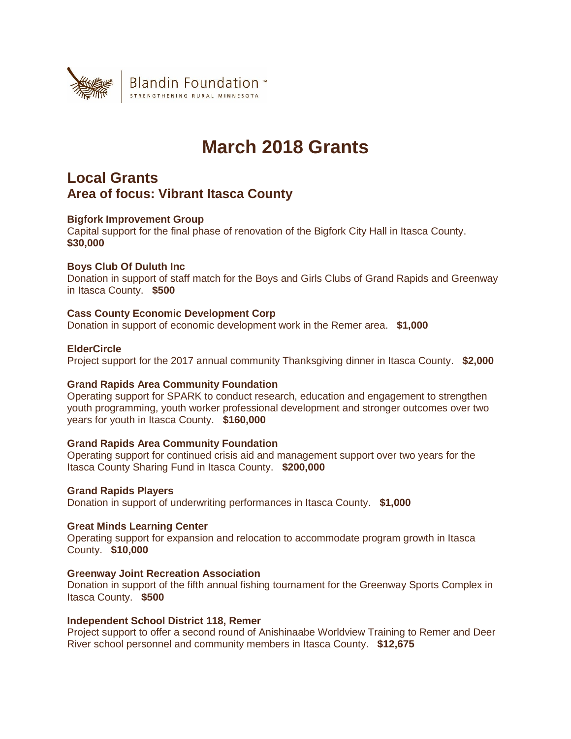

# **March 2018 Grants**

# **Local Grants Area of focus: Vibrant Itasca County**

# **Bigfork Improvement Group**

Capital support for the final phase of renovation of the Bigfork City Hall in Itasca County. **\$30,000**

# **Boys Club Of Duluth Inc**

Donation in support of staff match for the Boys and Girls Clubs of Grand Rapids and Greenway in Itasca County. **\$500**

# **Cass County Economic Development Corp**

Donation in support of economic development work in the Remer area. **\$1,000**

# **ElderCircle**

Project support for the 2017 annual community Thanksgiving dinner in Itasca County. **\$2,000**

# **Grand Rapids Area Community Foundation**

Operating support for SPARK to conduct research, education and engagement to strengthen youth programming, youth worker professional development and stronger outcomes over two years for youth in Itasca County. **\$160,000**

# **Grand Rapids Area Community Foundation**

Operating support for continued crisis aid and management support over two years for the Itasca County Sharing Fund in Itasca County. **\$200,000**

# **Grand Rapids Players**

Donation in support of underwriting performances in Itasca County. **\$1,000**

# **Great Minds Learning Center**

Operating support for expansion and relocation to accommodate program growth in Itasca County. **\$10,000**

# **Greenway Joint Recreation Association**

Donation in support of the fifth annual fishing tournament for the Greenway Sports Complex in Itasca County. **\$500**

# **Independent School District 118, Remer**

Project support to offer a second round of Anishinaabe Worldview Training to Remer and Deer River school personnel and community members in Itasca County. **\$12,675**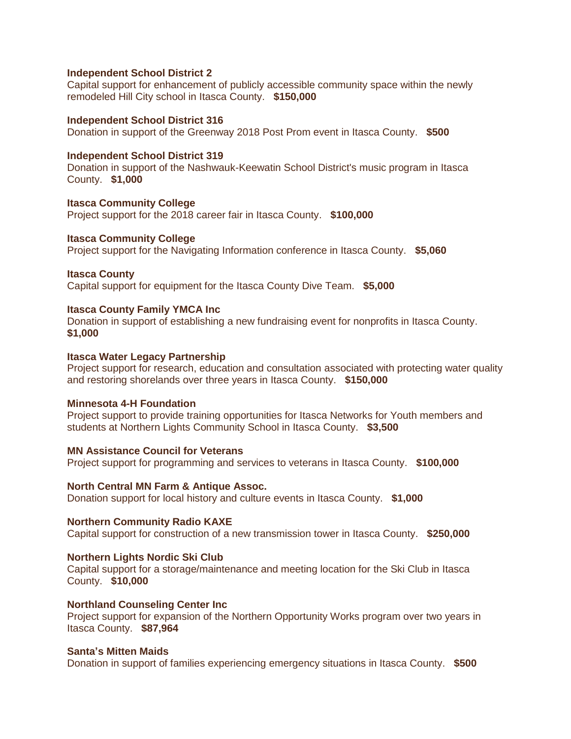### **Independent School District 2**

Capital support for enhancement of publicly accessible community space within the newly remodeled Hill City school in Itasca County. **\$150,000**

#### **Independent School District 316**

Donation in support of the Greenway 2018 Post Prom event in Itasca County. **\$500**

#### **Independent School District 319**

Donation in support of the Nashwauk-Keewatin School District's music program in Itasca County. **\$1,000**

**Itasca Community College** Project support for the 2018 career fair in Itasca County. **\$100,000**

#### **Itasca Community College**

Project support for the Navigating Information conference in Itasca County. **\$5,060**

#### **Itasca County**

Capital support for equipment for the Itasca County Dive Team. **\$5,000**

### **Itasca County Family YMCA Inc**

Donation in support of establishing a new fundraising event for nonprofits in Itasca County. **\$1,000**

#### **Itasca Water Legacy Partnership**

Project support for research, education and consultation associated with protecting water quality and restoring shorelands over three years in Itasca County. **\$150,000**

### **Minnesota 4-H Foundation**

Project support to provide training opportunities for Itasca Networks for Youth members and students at Northern Lights Community School in Itasca County. **\$3,500**

**MN Assistance Council for Veterans** Project support for programming and services to veterans in Itasca County. **\$100,000**

#### **North Central MN Farm & Antique Assoc.**

Donation support for local history and culture events in Itasca County. **\$1,000**

#### **Northern Community Radio KAXE**

Capital support for construction of a new transmission tower in Itasca County. **\$250,000**

#### **Northern Lights Nordic Ski Club**

Capital support for a storage/maintenance and meeting location for the Ski Club in Itasca County. **\$10,000**

#### **Northland Counseling Center Inc**

Project support for expansion of the Northern Opportunity Works program over two years in Itasca County. **\$87,964**

#### **Santa's Mitten Maids**

Donation in support of families experiencing emergency situations in Itasca County. **\$500**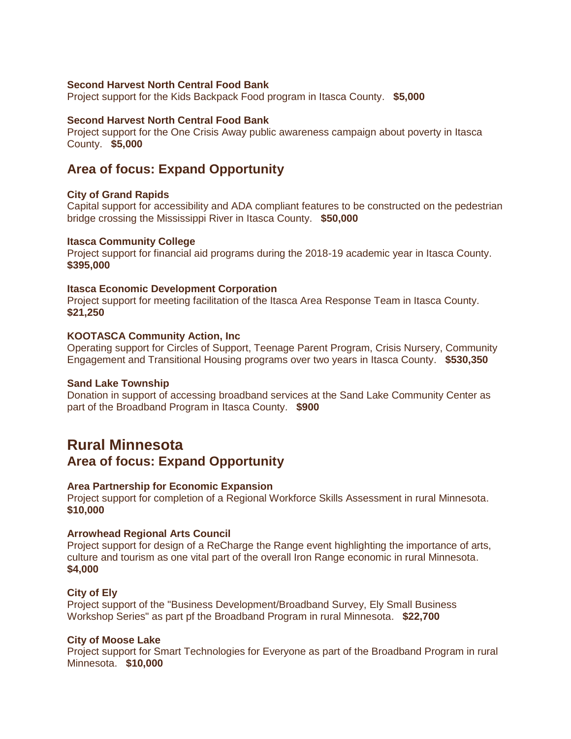# **Second Harvest North Central Food Bank**

Project support for the Kids Backpack Food program in Itasca County. **\$5,000**

# **Second Harvest North Central Food Bank**

Project support for the One Crisis Away public awareness campaign about poverty in Itasca County. **\$5,000**

# **Area of focus: Expand Opportunity**

# **City of Grand Rapids**

Capital support for accessibility and ADA compliant features to be constructed on the pedestrian bridge crossing the Mississippi River in Itasca County. **\$50,000**

#### **Itasca Community College**

Project support for financial aid programs during the 2018-19 academic year in Itasca County. **\$395,000**

## **Itasca Economic Development Corporation**

Project support for meeting facilitation of the Itasca Area Response Team in Itasca County. **\$21,250**

#### **KOOTASCA Community Action, Inc**

Operating support for Circles of Support, Teenage Parent Program, Crisis Nursery, Community Engagement and Transitional Housing programs over two years in Itasca County. **\$530,350**

#### **Sand Lake Township**

Donation in support of accessing broadband services at the Sand Lake Community Center as part of the Broadband Program in Itasca County. **\$900**

# **Rural Minnesota**

**Area of focus: Expand Opportunity**

# **Area Partnership for Economic Expansion**

Project support for completion of a Regional Workforce Skills Assessment in rural Minnesota. **\$10,000**

# **Arrowhead Regional Arts Council**

Project support for design of a ReCharge the Range event highlighting the importance of arts, culture and tourism as one vital part of the overall Iron Range economic in rural Minnesota. **\$4,000**

# **City of Ely**

Project support of the "Business Development/Broadband Survey, Ely Small Business Workshop Series" as part pf the Broadband Program in rural Minnesota. **\$22,700**

# **City of Moose Lake**

Project support for Smart Technologies for Everyone as part of the Broadband Program in rural Minnesota. **\$10,000**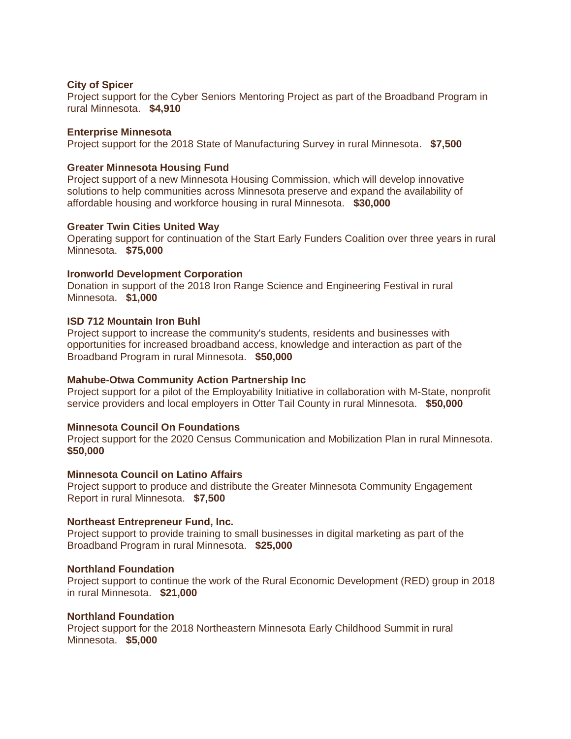### **City of Spicer**

Project support for the Cyber Seniors Mentoring Project as part of the Broadband Program in rural Minnesota. **\$4,910**

#### **Enterprise Minnesota**

Project support for the 2018 State of Manufacturing Survey in rural Minnesota. **\$7,500**

### **Greater Minnesota Housing Fund**

Project support of a new Minnesota Housing Commission, which will develop innovative solutions to help communities across Minnesota preserve and expand the availability of affordable housing and workforce housing in rural Minnesota. **\$30,000**

#### **Greater Twin Cities United Way**

Operating support for continuation of the Start Early Funders Coalition over three years in rural Minnesota. **\$75,000**

#### **Ironworld Development Corporation**

Donation in support of the 2018 Iron Range Science and Engineering Festival in rural Minnesota. **\$1,000**

#### **ISD 712 Mountain Iron Buhl**

Project support to increase the community's students, residents and businesses with opportunities for increased broadband access, knowledge and interaction as part of the Broadband Program in rural Minnesota. **\$50,000**

# **Mahube-Otwa Community Action Partnership Inc**

Project support for a pilot of the Employability Initiative in collaboration with M-State, nonprofit service providers and local employers in Otter Tail County in rural Minnesota. **\$50,000**

## **Minnesota Council On Foundations**

Project support for the 2020 Census Communication and Mobilization Plan in rural Minnesota. **\$50,000**

#### **Minnesota Council on Latino Affairs**

Project support to produce and distribute the Greater Minnesota Community Engagement Report in rural Minnesota. **\$7,500**

#### **Northeast Entrepreneur Fund, Inc.**

Project support to provide training to small businesses in digital marketing as part of the Broadband Program in rural Minnesota. **\$25,000**

# **Northland Foundation**

Project support to continue the work of the Rural Economic Development (RED) group in 2018 in rural Minnesota. **\$21,000**

#### **Northland Foundation**

Project support for the 2018 Northeastern Minnesota Early Childhood Summit in rural Minnesota. **\$5,000**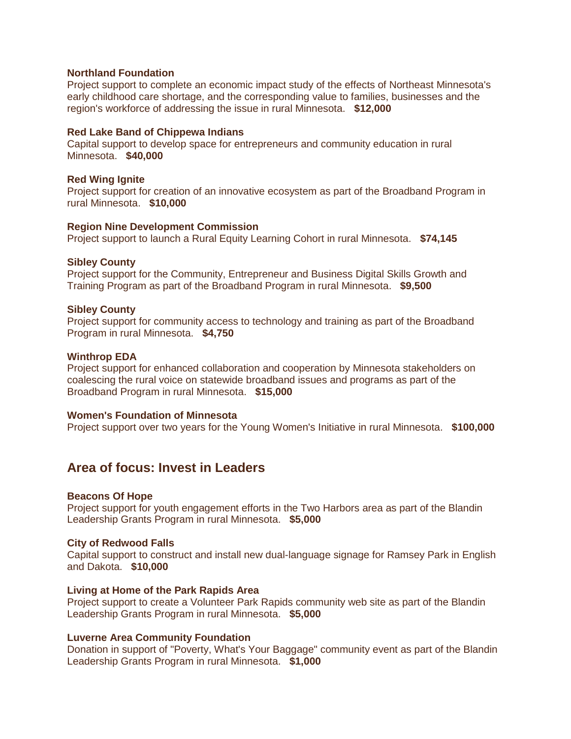### **Northland Foundation**

Project support to complete an economic impact study of the effects of Northeast Minnesota's early childhood care shortage, and the corresponding value to families, businesses and the region's workforce of addressing the issue in rural Minnesota. **\$12,000**

#### **Red Lake Band of Chippewa Indians**

Capital support to develop space for entrepreneurs and community education in rural Minnesota. **\$40,000**

### **Red Wing Ignite**

Project support for creation of an innovative ecosystem as part of the Broadband Program in rural Minnesota. **\$10,000**

#### **Region Nine Development Commission**

Project support to launch a Rural Equity Learning Cohort in rural Minnesota. **\$74,145**

#### **Sibley County**

Project support for the Community, Entrepreneur and Business Digital Skills Growth and Training Program as part of the Broadband Program in rural Minnesota. **\$9,500**

# **Sibley County**

Project support for community access to technology and training as part of the Broadband Program in rural Minnesota. **\$4,750**

#### **Winthrop EDA**

Project support for enhanced collaboration and cooperation by Minnesota stakeholders on coalescing the rural voice on statewide broadband issues and programs as part of the Broadband Program in rural Minnesota. **\$15,000**

# **Women's Foundation of Minnesota**

Project support over two years for the Young Women's Initiative in rural Minnesota. **\$100,000**

# **Area of focus: Invest in Leaders**

#### **Beacons Of Hope**

Project support for youth engagement efforts in the Two Harbors area as part of the Blandin Leadership Grants Program in rural Minnesota. **\$5,000**

# **City of Redwood Falls**

Capital support to construct and install new dual-language signage for Ramsey Park in English and Dakota. **\$10,000**

#### **Living at Home of the Park Rapids Area**

Project support to create a Volunteer Park Rapids community web site as part of the Blandin Leadership Grants Program in rural Minnesota. **\$5,000**

# **Luverne Area Community Foundation**

Donation in support of "Poverty, What's Your Baggage" community event as part of the Blandin Leadership Grants Program in rural Minnesota. **\$1,000**